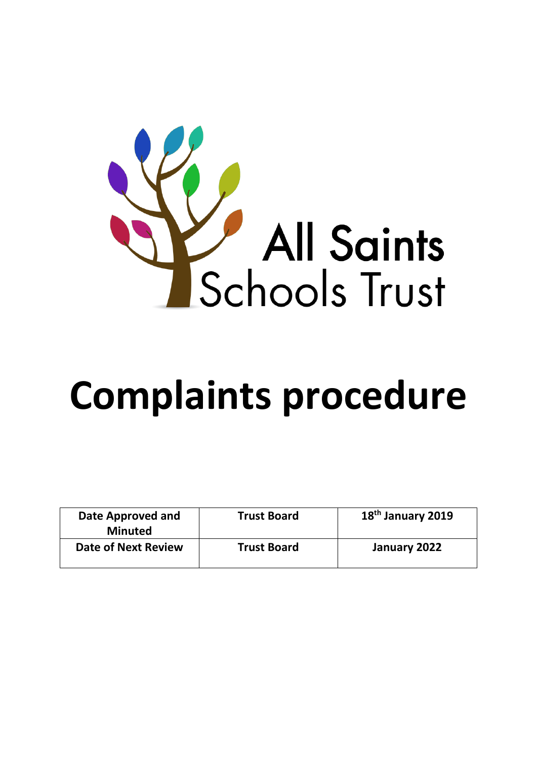

# **Complaints procedure**

| Date Approved and<br><b>Minuted</b> | <b>Trust Board</b> | 18 <sup>th</sup> January 2019 |
|-------------------------------------|--------------------|-------------------------------|
| <b>Date of Next Review</b>          | <b>Trust Board</b> | January 2022                  |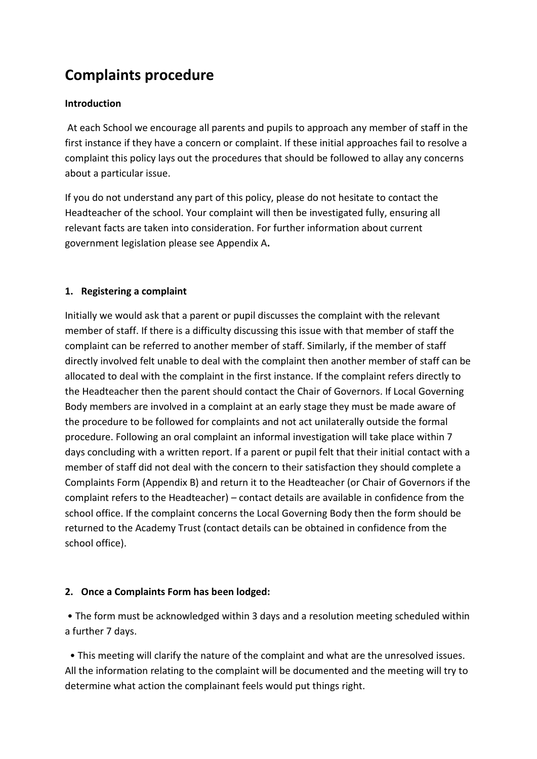# **Complaints procedure**

# **Introduction**

At each School we encourage all parents and pupils to approach any member of staff in the first instance if they have a concern or complaint. If these initial approaches fail to resolve a complaint this policy lays out the procedures that should be followed to allay any concerns about a particular issue.

If you do not understand any part of this policy, please do not hesitate to contact the Headteacher of the school. Your complaint will then be investigated fully, ensuring all relevant facts are taken into consideration. For further information about current government legislation please see Appendix A**.**

# **1. Registering a complaint**

Initially we would ask that a parent or pupil discusses the complaint with the relevant member of staff. If there is a difficulty discussing this issue with that member of staff the complaint can be referred to another member of staff. Similarly, if the member of staff directly involved felt unable to deal with the complaint then another member of staff can be allocated to deal with the complaint in the first instance. If the complaint refers directly to the Headteacher then the parent should contact the Chair of Governors. If Local Governing Body members are involved in a complaint at an early stage they must be made aware of the procedure to be followed for complaints and not act unilaterally outside the formal procedure. Following an oral complaint an informal investigation will take place within 7 days concluding with a written report. If a parent or pupil felt that their initial contact with a member of staff did not deal with the concern to their satisfaction they should complete a Complaints Form (Appendix B) and return it to the Headteacher (or Chair of Governors if the complaint refers to the Headteacher) – contact details are available in confidence from the school office. If the complaint concerns the Local Governing Body then the form should be returned to the Academy Trust (contact details can be obtained in confidence from the school office).

# **2. Once a Complaints Form has been lodged:**

• The form must be acknowledged within 3 days and a resolution meeting scheduled within a further 7 days.

 • This meeting will clarify the nature of the complaint and what are the unresolved issues. All the information relating to the complaint will be documented and the meeting will try to determine what action the complainant feels would put things right.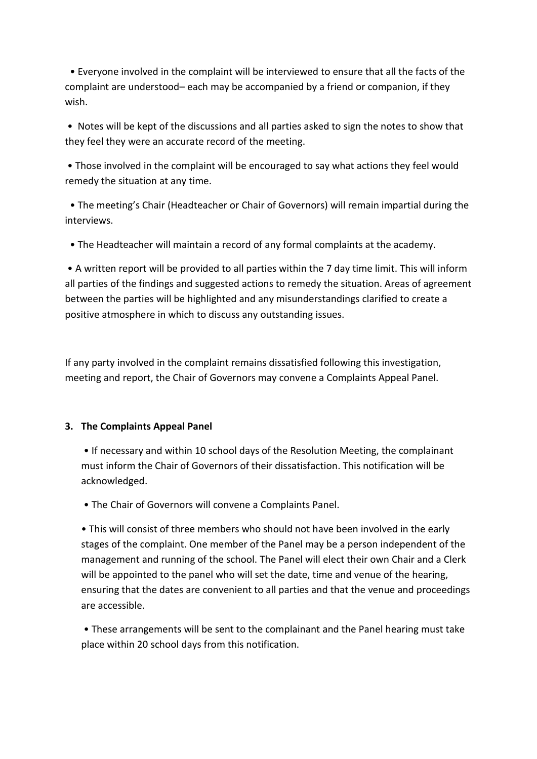• Everyone involved in the complaint will be interviewed to ensure that all the facts of the complaint are understood– each may be accompanied by a friend or companion, if they wish.

• Notes will be kept of the discussions and all parties asked to sign the notes to show that they feel they were an accurate record of the meeting.

• Those involved in the complaint will be encouraged to say what actions they feel would remedy the situation at any time.

 • The meeting's Chair (Headteacher or Chair of Governors) will remain impartial during the interviews.

• The Headteacher will maintain a record of any formal complaints at the academy.

• A written report will be provided to all parties within the 7 day time limit. This will inform all parties of the findings and suggested actions to remedy the situation. Areas of agreement between the parties will be highlighted and any misunderstandings clarified to create a positive atmosphere in which to discuss any outstanding issues.

If any party involved in the complaint remains dissatisfied following this investigation, meeting and report, the Chair of Governors may convene a Complaints Appeal Panel.

# **3. The Complaints Appeal Panel**

• If necessary and within 10 school days of the Resolution Meeting, the complainant must inform the Chair of Governors of their dissatisfaction. This notification will be acknowledged.

• The Chair of Governors will convene a Complaints Panel.

• This will consist of three members who should not have been involved in the early stages of the complaint. One member of the Panel may be a person independent of the management and running of the school. The Panel will elect their own Chair and a Clerk will be appointed to the panel who will set the date, time and venue of the hearing, ensuring that the dates are convenient to all parties and that the venue and proceedings are accessible.

• These arrangements will be sent to the complainant and the Panel hearing must take place within 20 school days from this notification.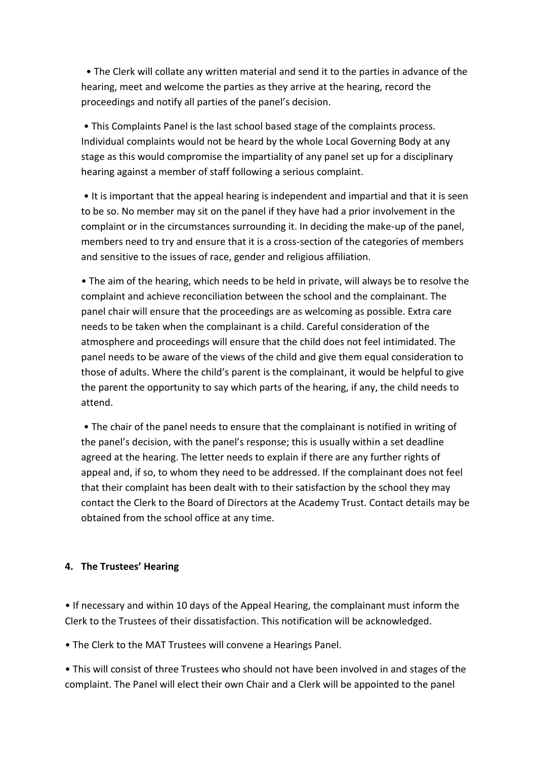• The Clerk will collate any written material and send it to the parties in advance of the hearing, meet and welcome the parties as they arrive at the hearing, record the proceedings and notify all parties of the panel's decision.

• This Complaints Panel is the last school based stage of the complaints process. Individual complaints would not be heard by the whole Local Governing Body at any stage as this would compromise the impartiality of any panel set up for a disciplinary hearing against a member of staff following a serious complaint.

• It is important that the appeal hearing is independent and impartial and that it is seen to be so. No member may sit on the panel if they have had a prior involvement in the complaint or in the circumstances surrounding it. In deciding the make-up of the panel, members need to try and ensure that it is a cross-section of the categories of members and sensitive to the issues of race, gender and religious affiliation.

• The aim of the hearing, which needs to be held in private, will always be to resolve the complaint and achieve reconciliation between the school and the complainant. The panel chair will ensure that the proceedings are as welcoming as possible. Extra care needs to be taken when the complainant is a child. Careful consideration of the atmosphere and proceedings will ensure that the child does not feel intimidated. The panel needs to be aware of the views of the child and give them equal consideration to those of adults. Where the child's parent is the complainant, it would be helpful to give the parent the opportunity to say which parts of the hearing, if any, the child needs to attend.

• The chair of the panel needs to ensure that the complainant is notified in writing of the panel's decision, with the panel's response; this is usually within a set deadline agreed at the hearing. The letter needs to explain if there are any further rights of appeal and, if so, to whom they need to be addressed. If the complainant does not feel that their complaint has been dealt with to their satisfaction by the school they may contact the Clerk to the Board of Directors at the Academy Trust. Contact details may be obtained from the school office at any time.

# **4. The Trustees' Hearing**

• If necessary and within 10 days of the Appeal Hearing, the complainant must inform the Clerk to the Trustees of their dissatisfaction. This notification will be acknowledged.

• The Clerk to the MAT Trustees will convene a Hearings Panel.

• This will consist of three Trustees who should not have been involved in and stages of the complaint. The Panel will elect their own Chair and a Clerk will be appointed to the panel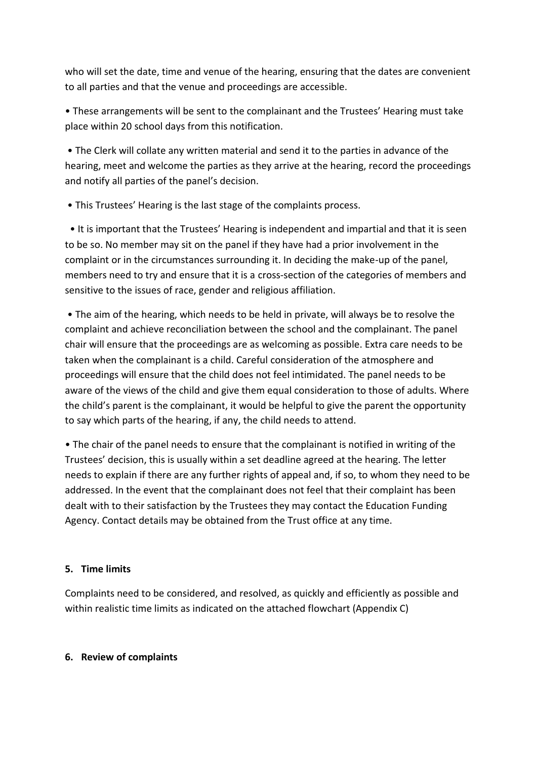who will set the date, time and venue of the hearing, ensuring that the dates are convenient to all parties and that the venue and proceedings are accessible.

• These arrangements will be sent to the complainant and the Trustees' Hearing must take place within 20 school days from this notification.

• The Clerk will collate any written material and send it to the parties in advance of the hearing, meet and welcome the parties as they arrive at the hearing, record the proceedings and notify all parties of the panel's decision.

• This Trustees' Hearing is the last stage of the complaints process.

 • It is important that the Trustees' Hearing is independent and impartial and that it is seen to be so. No member may sit on the panel if they have had a prior involvement in the complaint or in the circumstances surrounding it. In deciding the make-up of the panel, members need to try and ensure that it is a cross-section of the categories of members and sensitive to the issues of race, gender and religious affiliation.

• The aim of the hearing, which needs to be held in private, will always be to resolve the complaint and achieve reconciliation between the school and the complainant. The panel chair will ensure that the proceedings are as welcoming as possible. Extra care needs to be taken when the complainant is a child. Careful consideration of the atmosphere and proceedings will ensure that the child does not feel intimidated. The panel needs to be aware of the views of the child and give them equal consideration to those of adults. Where the child's parent is the complainant, it would be helpful to give the parent the opportunity to say which parts of the hearing, if any, the child needs to attend.

• The chair of the panel needs to ensure that the complainant is notified in writing of the Trustees' decision, this is usually within a set deadline agreed at the hearing. The letter needs to explain if there are any further rights of appeal and, if so, to whom they need to be addressed. In the event that the complainant does not feel that their complaint has been dealt with to their satisfaction by the Trustees they may contact the Education Funding Agency. Contact details may be obtained from the Trust office at any time.

# **5. Time limits**

Complaints need to be considered, and resolved, as quickly and efficiently as possible and within realistic time limits as indicated on the attached flowchart (Appendix C)

#### **6. Review of complaints**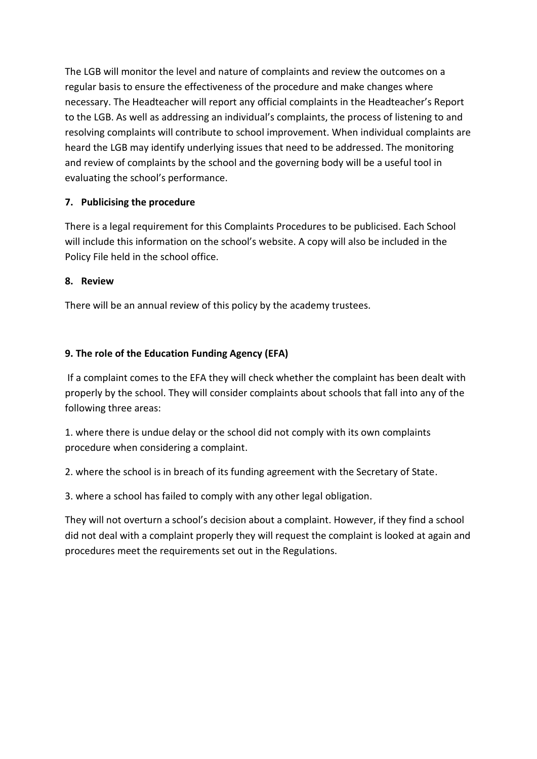The LGB will monitor the level and nature of complaints and review the outcomes on a regular basis to ensure the effectiveness of the procedure and make changes where necessary. The Headteacher will report any official complaints in the Headteacher's Report to the LGB. As well as addressing an individual's complaints, the process of listening to and resolving complaints will contribute to school improvement. When individual complaints are heard the LGB may identify underlying issues that need to be addressed. The monitoring and review of complaints by the school and the governing body will be a useful tool in evaluating the school's performance.

# **7. Publicising the procedure**

There is a legal requirement for this Complaints Procedures to be publicised. Each School will include this information on the school's website. A copy will also be included in the Policy File held in the school office.

# **8. Review**

There will be an annual review of this policy by the academy trustees.

# **9. The role of the Education Funding Agency (EFA)**

If a complaint comes to the EFA they will check whether the complaint has been dealt with properly by the school. They will consider complaints about schools that fall into any of the following three areas:

1. where there is undue delay or the school did not comply with its own complaints procedure when considering a complaint.

2. where the school is in breach of its funding agreement with the Secretary of State.

3. where a school has failed to comply with any other legal obligation.

They will not overturn a school's decision about a complaint. However, if they find a school did not deal with a complaint properly they will request the complaint is looked at again and procedures meet the requirements set out in the Regulations.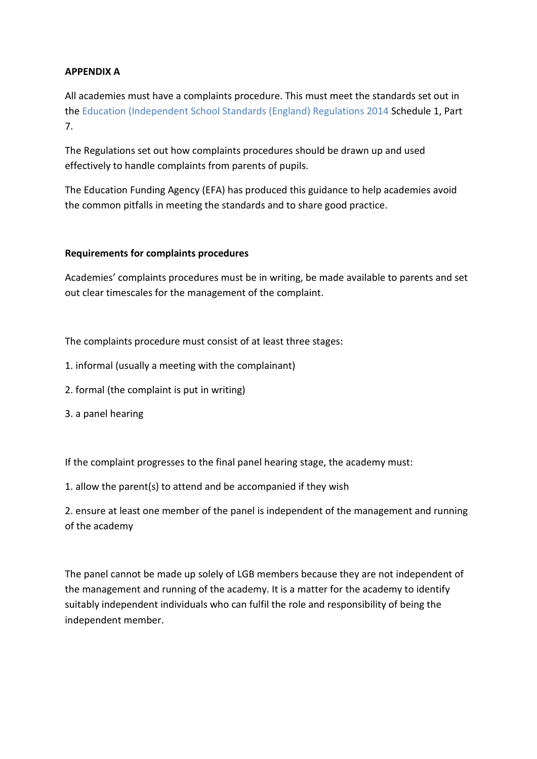# **APPENDIX A**

All academies must have a complaints procedure. This must meet the standards set out in the Education (Independent School Standards (England) Regulations 2014 Schedule 1, Part 7.

The Regulations set out how complaints procedures should be drawn up and used effectively to handle complaints from parents of pupils.

The Education Funding Agency (EFA) has produced this guidance to help academies avoid the common pitfalls in meeting the standards and to share good practice.

# **Requirements for complaints procedures**

Academies' complaints procedures must be in writing, be made available to parents and set out clear timescales for the management of the complaint.

The complaints procedure must consist of at least three stages:

- 1. informal (usually a meeting with the complainant)
- 2. formal (the complaint is put in writing)
- 3. a panel hearing

If the complaint progresses to the final panel hearing stage, the academy must:

1. allow the parent(s) to attend and be accompanied if they wish

2. ensure at least one member of the panel is independent of the management and running of the academy

The panel cannot be made up solely of LGB members because they are not independent of the management and running of the academy. It is a matter for the academy to identify suitably independent individuals who can fulfil the role and responsibility of being the independent member.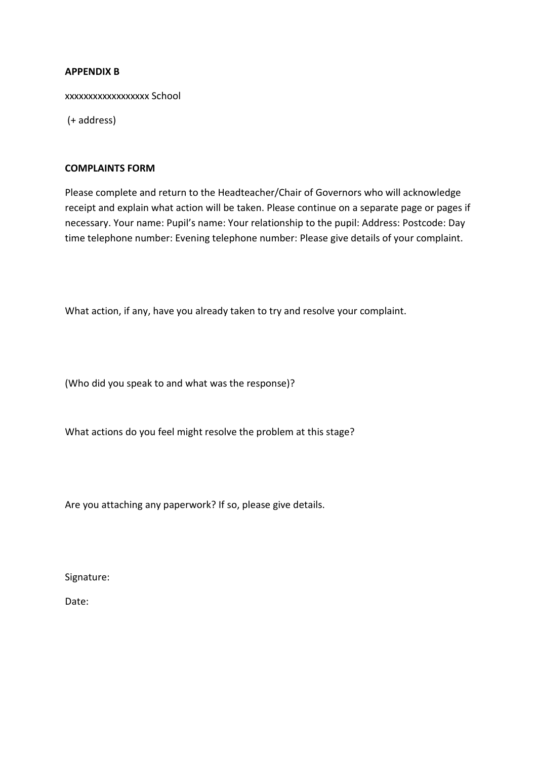#### **APPENDIX B**

xxxxxxxxxxxxxxxxxx School

(+ address)

#### **COMPLAINTS FORM**

Please complete and return to the Headteacher/Chair of Governors who will acknowledge receipt and explain what action will be taken. Please continue on a separate page or pages if necessary. Your name: Pupil's name: Your relationship to the pupil: Address: Postcode: Day time telephone number: Evening telephone number: Please give details of your complaint.

What action, if any, have you already taken to try and resolve your complaint.

(Who did you speak to and what was the response)?

What actions do you feel might resolve the problem at this stage?

Are you attaching any paperwork? If so, please give details.

Signature:

Date: